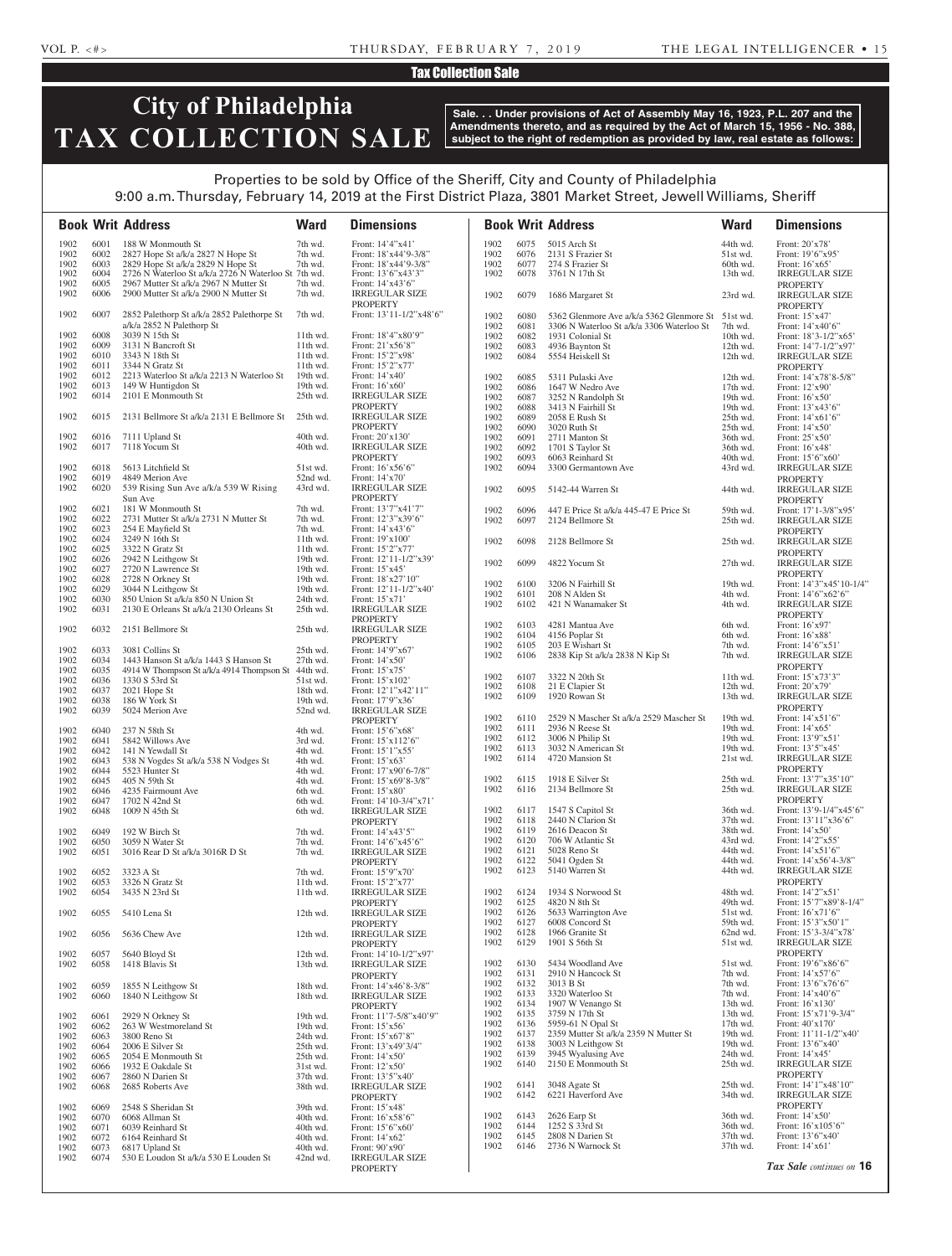### VOL P. <#> THURSDAY, FEBRUARY 7, 2019 THE LEGAL INTELLIGENCER • 15

## Tax Collection Sale

# **City of Philadelphia TAX COLLECTION SALE**

**Sale. . . Under provisions of Act of Assembly May 16, 1923, P.L. 207 and the Amendments thereto, and as required by the Act of March 15, 1956 - No. 388, subject to the right of redemption as provided by law, real estate as follows:**

## Properties to be sold by Office of the Sheriff, City and County of Philadelphia 9:00 a.m. Thursday, February 14, 2019 at the First District Plaza, 3801 Market Street, Jewell Williams, Sheriff

**Book Writ Address Ward Dimensions Book Writ Address Ward Dimensions** 1902 6001 188 W Monmouth St 7th wd. Front: 14'4"x41' 6002 2827 Hope St a/k/a 2827 N Hope St 7th wd. Front: 18'x44'9-3/8" 1902 6002 2827 Hope St a/k/a 2827 N Hope St 7th wd. Front: 18'x44'9-3/8"<br>1902 6003 2829 Hope St a/k/a 2829 N Hope St 7th wd. Front: 18'x44'9-3/8" 1902 6003 2829 Hope St a/k/a 2829 N Hope St 7th wd. 1902 6004 2726 N Waterloo St a/k/a 2726 N Waterloo St 7th wd. Front: 13'6"x43'3" 1902 6005 2967 Mutter St a/k/a 2967 N Mutter St<br>1902 6006 2900 Mutter St a/k/a 2900 N Mutter St<br>7th wd. IRREGULAR SIZE 1902 6006 2900 Mutter St a/k/a 2900 N Mutter St 7th wd. PROPERTY 1902 6007 2852 Palethorp St a/k/a 2852 Palethorpe St a/k/a 2852 N Palethorp St<br>3039 N 15th St 7th wd. Front: 13'11-1/2"x48'6" 1902 6008 3039 N 15th St 11th wd. Front: 18'4"x80'9"<br>1902 6009 3131 N Bancroft St 11th wd. Front: 21'x56'8" 1902 6009 3131 N Bancroft St 11th wd.<br>1902 6010 3343 N 18th St 11th wd. Front: 15'2"x98' 1902 6011 3344 N Gratz St 11th wd. Front: 15'2"x77' 1902 6012 2213 Waterloo St a/k/a 2213 N Waterloo St 1902 6013 149 W Huntigdon St 19th wd. Front: 16'x60' 1902 6014 2101 E Monmouth St 25th wd. IRREGULAR SIZE PROPERTY<br>IRREGULAR SIZE 1902 6015 2131 Bellmore St a/k/a 2131 E Bellmore St 25th wd. PROPERTY<br>Front: 20'x130' 1902 6016 7111 Upland St 40th wd.<br>1902 6017 7118 Yocum St 40th wd. 6017 7118 Yocum St 40th wd. IRREGULAR SIZE PROPERTY<br>Front: 16'x56'6" 1902 6018 5613 Litchfield St 51st wd.<br>1902 6019 4849 Merion Ave 52nd wd 1902 6019 4849 Merion Ave 52nd wd. Front: 14'x70' 1902 6020 539 Rising Sun Ave a/k/a 539 W Rising Sun Ave IRREGULAR SIZE PROPERTY 1902 6021 181 W Monmouth St 7th wd. Front: 13'7"x41'7"<br>1902 6022 2731 Mutter St a/k/a 2731 N Mutter St 7th wd. Front: 12'3"x39'6" 6022 2731 Mutter St a/k/a 2731 N Mutter St 7th wd. 1902 6023 254 E Mayfield St 7th wd. Front: 14'x43'6" 1902 6024 3249 N 16th St 11th wd. Front: 19'x100' 1902 6025 3322 N Gratz St 11th wd. Front: 15'2"x77'<br>1902 6026 2942 N Leithgow St 19th wd. Front: 12'11-1/2"x39 1902 6026 2942 N Leithgow St 19th wd. Front: 12'11-1<br>1902 6027 2720 N Lawrence St 19th wd. Front: 15'x45' 1902 6027 2720 N Lawrence St 19th wd. Front: 15'x45' 1902 6028 2728 N Orkney St 19th wd. Front: 18'x27'10" 1902 6028 2728 N Orkney St<br>1902 6029 3044 N Leithgow St 1902 6029 3044 N Leithgow St 19th wd. Front: 12'11-1/2"x40' 1902 6030 850 Union St a/k/a 850 N Union St 24th wd. Front:  $15' \times 71'$ <br>1902 6031 2130 E Orleans St a/k/a 2130 Orleans St 25th wd. IRREGULAR SIZE 1902 6031 2130 E Orleans St a/k/a 2130 Orleans St 25th wd. PROPERTY<br>IRREGULAR SIZE 1902 6032 2151 Bellmore St 25th wd. **PROPERTY** 1902 6033 3081 Collins St 25th wd. Front: 14'9"x67<br>1902 6034 1443 Hanson St a/k/a 1443 S Hanson St 27th wd. Front: 14'x50' 1902 6034 1443 Hanson St a/k/a 1443 S Hanson St 27th wd. Front: 14'x50'<br>1902 6035 4914 W Thompson St a/k/a 4914 Thompson St 44th wd. Front: 15'x75' 1902 6035 4914 W Thompson St a/k/a 4914 Thompson St 44th wd.<br>1902 6036 1330 S 53rd St 1902 6036 1330 S 53rd St 51st wd. Front: 15'x102'<br>1902 6037 2021 Hope St 18th wd. Front: 12'1"x42 1903 6037 2021 Hope St 19th wd. Front: 12'1"x42'11"<br>
19th wd. Front: 17'9"x36' 1902 6038 186 W York St 19th wd. Front: 17'9"x36' 1902 6039 5024 Merion Ave 52nd wd. IRREGULAR SIZE PROPERTY 1902 6040 237 N 58th St 4th wd. Front: 15'6"x68'<br>1902 6041 5842 Willows Ave 3rd wd. Front: 15' x 112' 1902 5842 Willows Ave 3rd wd. Front: 15'x112'6"<br>141 N Yewdall St 4th wd. Front: 15'1"x55" 1902 6042 141 N Yewdall St 4th wd. Front: 15'1"x5<br>1902 6043 538 N Vogdes St a/k/a 538 N Vodges St 4th wd. Front: 15'x63' 1902 6043 538 N Vogdes St a/k/a 538 N Vodges St<br>1902 6044 5523 Hunter St 4th wd. Front: 17'x90'6-7/8" 1902 6045 405 N 59th St 4th wd. Front: 15'x69'8-3/8"<br>1902 6046 4235 Fairmount Ave 6th wd. Front: 15'x80' 1902 6046 4235 Fairmount Ave 6th wd. 1902 6047 1702 N 42nd St 6th wd. Front: 14'10-3/4"x71<br>1902 6048 1009 N 45th St 6th wd. IRREGULAR SIZE 1902 6048 1009 N 45th St 6th wd. IRREGULAR SIZE PROPERTY 1902 6049 192 W Birch St 7th wd. Front: 14'x43'5" 1902 6050 3059 N Water St 7th wd. Front: 14'6"x45'6"<br>1902 6051 3016 Rear D St a/k/a 3016R D St 7th wd. IRREGULAR SIZE 3016 Rear D St a/k/a 3016R D St PROPERTY 1902 6052 3323 A St 7th wd. Front: 15'9"x70'<br>1902 6053 3326 N Gratz St 11th wd. Front: 15'2"x77' 11th wd<br>
6054 3435 N 23rd St 11th wd<br>
11th wd 1902 6054 3435 N 23rd St 11th wd. IRREGULAR SIZE PROPERTY 1902 6055 5410 Lena St 12th wd. IRREGULAR SIZE PROPERTY 1902 6056 5636 Chew Ave 12th wd. IRREGULAR SIZE PROPERTY 1902 6057 5640 Bloyd St 12th wd. Front: 14'10-1/2"x97<br>1902 6058 1418 Blavis St 13th wd. IRREGULAR SIZE 1902 6058 1418 Blavis St 13th wd. IRREGULAR SIZE PROPERTY 1902 6059 1855 N Leithgow St 18th wd. Front: 14'x46'8-3/8" 1902 6060 1840 N Leithgow St 18th wd. IRREGULAR SIZE **PROPERTY** 1902 6061 2929 N Orkney St 19th wd. Front: 11'7-5/8"x40'9" 1902 6062 263 W Westmoreland St<br>1902 6063 3800 Reno St 1902 6063 3800 Reno St 24th wd. Front: 15'x67'8" 1902 6064 2006 E Silver St 25th wd. Front: 13'x49'3/4<br>1902 6065 2054 E Monmouth St 25th wd. Front: 14'x50' 1902 6065 2054 E Monmouth St 25th wd. Front: 14'x50'<br>1902 6066 1932 E Oakdale St 31st wd. Front: 12'x50' 1932 E Oakdale St 31st wd. 1902 6067 2860 N Darien St 37th wd. Front: 13'5"x40' 1902 6068 2685 Roberts Ave 38th wd. IRREGULAR SIZE PROPERTY<br>Front: 15'x48' 1902 6069 2548 S Sheridan St 39th wd. Front: 15'x48' 1902 6070 6068 Allman St 40th wd. Front: 16' x58'6"<br>1902 6071 6039 Reinhard St 40th wd. Front: 15'6" x60" 1902 6071 6039 Reinhard St 40th wd. Front: 15'6"x6<br>1902 6072 6164 Reinhard St 40th wd. Front: 14'x62' 1904 6164 Reinhard St 40th wd. Front: 14'x62'<br>6817 Upland St 40th wd. Front: 90'x90' 1902 6073 6817 Upland St 40th wd. Front: 90'x90'<br>1902 6074 530 E Loudon St a/k/a 530 E Louden St 42nd wd. IRREGULAR SIZE 1902 6074 530 E Loudon St a/k/a 530 E Louden St PROPERTY 1902 6075 5015 Arch St 44th wd. Front: 20'x78' 6076 2131 S Frazier St 51st wd. 1902 6077 274 S Frazier St 60th wd. Front: 16'x65' 1902 6078 3761 N 17th St 13th wd. IRREGULAR SIZE PROPERTY 1902 6079 1686 Margaret St 23rd wd. IRREGULAR SIZE PROPERTY<br>Front: 15'x47 1902 6080 5362 Glenmore Ave  $a/k/a$  5362 Glenmore St 51st wd. 1902 6081 3306 N Waterloo St a/k/a 3306 Waterloo St 7th wd. Front: 14'x40'6" 1902 6082 1931 Colonial St 10th wd. Front: 18'3-1/2"x65' 1902 6083 4936 Baynton St 12th wd. Front: 14'7-1/2"x97' IRREGULAR SIZE PROPERTY 1902 6085 5311 Pulaski Ave 12th wd. Front: 14'x78'8-5/8"<br>1902 6086 1647 W Nedro Ave 17th wd. Front: 12'x90' 1902 6086 1647 W Nedro Ave 17th wd. Front: 12'x90'<br>1902 6087 3252 N Randolph St 19th wd. Front: 16'x50' 3252 N Randolph St 1902 6088 3413 N Fairhill St 19th wd. Front: 13'x43'6"<br>1902 6089 2058 E Rush St 25th wd. Front: 14'x61'6" 1902 6089 2058 E Rush St 25th wd. Front: 14'x61'6" 1902 6090 3020 Ruth St 25th wd. Front: 14'x50' 1902 6091 2711 Manton St 36th wd. Front: 25'x50'<br>1902 6092 1701 S Taylor St 36th wd. Front: 16'x48' 1902 6092 1701 S Taylor St 36th wd. Front: 16'x48' 1902 6093 6063 Reinhard St 40th wd. Front: 15'6"x60"<br>1902 6094 3300 Germantown Ave 43rd wd. IRREGULAR SIZE 3300 Germantown Ave 43rd wd. PROPERTY 1902 6095 5142-44 Warren St 44th wd. IRREGULAR SIZE PROPERTY<br>Front: 17'1-3/8"x95' 1902 6096 447 E Price St a/k/a 445-47 E Price St 59th wd.<br>1902 6097 2124 Bellmore St 25th wd. IRREGULAR SIZE PROPERTY<br>IRREGULAR SIZE 1902 6098 2128 Bellmore St 25th wd. PROPERTY 1902 6099 4822 Yocum St 27th wd. IRREGULAR SIZE PROPERTY 1902 6100 3206 N Fairhill St 19th wd. Front: 14'3"x45'10-1/4"<br>1902 6101 208 N Alden St 4th wd. Front: 14'6"x62'6" 1902 6101 208 N Alden St 4th wd. Front: 14'6"x62'6"<br>1902 6102 421 N Wanamaker St 4th wd. IRREGULAR SIZE 6102 421 N Wanamaker St 4th wd. PROPERTY 1902 6103 4281 Mantua Ave 6th wd. Front: 16'x97<br>1902 6104 4156 Poplar St 6th wd. Front: 16'x88 1902 6104 4156 Poplar St 6th wd. Front: 16' x88'<br>1902 6105 203 E Wishart St 7th wd. Front: 14' 6" x51' 203 E Wishart St<br>
2838 Kip St a/k/a 2838 N Kip St<br>
7th wd. IRREGULAR SIZE 1902 6106 2838 Kip St a/k/a 2838 N Kip St 7th wd. PROPERTY 1902 6107 3322 N 20th St 11th wd. Front: 15'x73'3'<br>1902 6108 21 E Clapier St 12th wd. Front: 20'x79' 1902 6108 21 E Clapier St 12th wd.<br>1902 6109 1920 Rowan St 13th wd. 1902 6109 1920 Rowan St 13th wd. IRREGULAR SIZE PROPERTY<br>Front: 14'x51'6' 1902 6110 2529 N Mascher St a/k/a 2529 Mascher St 19th wd. 1902 6111 2936 N Reese St 19th wd. Front: 14'x65' 1902 6112 3006 N Philip St 19th wd. Front: 13'9"x51 1902 6113 3032 N American St 19th wd. Front: 13'5"x45' 1902 6114 4720 Mansion St 21st wd. IRREGULAR SIZE PROPERTY 1902 6115 1918 E Silver St 25th wd. Front: 13'7"x35'10" 1902 6116 2134 Bellmore St 25th wd. IRREGULAR SIZE PROPERTY 1902 6117 1547 S Capitol St 36th wd. Front: 13'9-1/4"x45'6"<br>1902 6118 2440 N Clarion St 37th wd. Front: 13'11"x36'6" 1902 6118 2440 N Clarion St 37th wd. Front: 13'11"x36'6"<br>1902 6119 2616 Deacon St 38th wd. Front: 14'x50' 1902 6119 2616 Deacon St 38th wd. Front: 14'x50' 1902 6120 706 W Atlantic St<br>1902 6121 5028 Reno St 1902 6121 5028 Reno St 44th wd. Front: 14'x51'6"<br>1902 6122 5041 Ogden St 44th wd. Front: 14'x56'4-1902 6122 5041 Ogden St 44th wd. Front: 14'x56'4-3/8" 1902 6123 5140 Warren St 44th wd. IRREGULAR SIZE PROPERTY 1902 6124 1934 S Norwood St 48th wd. Front: 14'2"x51' 1902 6125 4820 N 8th St 49th wd. Front: 15'7"x89'8-1/4"<br>1902 6126 5633 Warrington Ave 51st wd. Front: 16'x71'6" 1902 6126 5633 Warrington Ave 51st wd. Front: 16'x71'6" 1902 6127 6008 Concord St 59th wd. Front: 15'3"x50'1" 1902 6128 1966 Granite St 62nd wd. Front: 15'3-3/4"x78' 51st wd. IRREGULAR SIZE PROPERTY<br>Front: 19'6"x86'6" 1902 6130 5434 Woodland Ave 51st wd. Front: 19'6"x86'<br>1902 6131 2910 N Hancock St 7th wd. Front: 14'x57'6" 1902 6131 2910 N Hancock St<br>1902 6132 3013 B St 1902 6132 3013 B St 7th wd. Front: 13'6"x76'6'<br>1902 6133 3320 Waterloo St 7th wd. Front: 14'x40'6" 6133 3320 Waterloo St 7th wd. 1902 6134 1907 W Venango St 13th wd. Front: 16'x130' 1902 6135 3759 N 17th St 13th wd. Front: 15'x71'9-3/4" 1902 6136 5959-61 N Opal St 17th wd. Front: 40'x170'<br>1902 6137 2359 Mutter St a/k/a 2359 N Mutter St 19th wd. Front: 11'11-1/2"x40" 2359 Mutter St  $a/k/a$  2359 N Mutter St 19th wd. 1902 6138 3003 N Leithgow St 19th wd. Front: 13'6"x40'<br>1902 6139 3945 Wyalusing Ave 24th wd. Front: 14'x45' 3945 Wyalusing Ave 1902 6140 2150 E Monmouth St 25th wd. IRREGULAR SIZE PROPERTY 1902 6141 3048 Agate St 25th wd. Front: 14'1"x48'10" 6142 6221 Haverford Ave 34th wd. IRREGULAR SIZE PROPERTY 1902 6143 2626 Earp St 36th wd. Front: 14'x50' 1902 6144 1252 S 33rd St 36th wd. Front: 16' x 105'6" 1902 6145 2808 N Darien St 37th wd. Front: 13' 6" x 40" 2808 N Darien St 1902 6146 2736 N Warnock St 37th wd. Front: 14'x61' *Tax Sale continues on* **16**